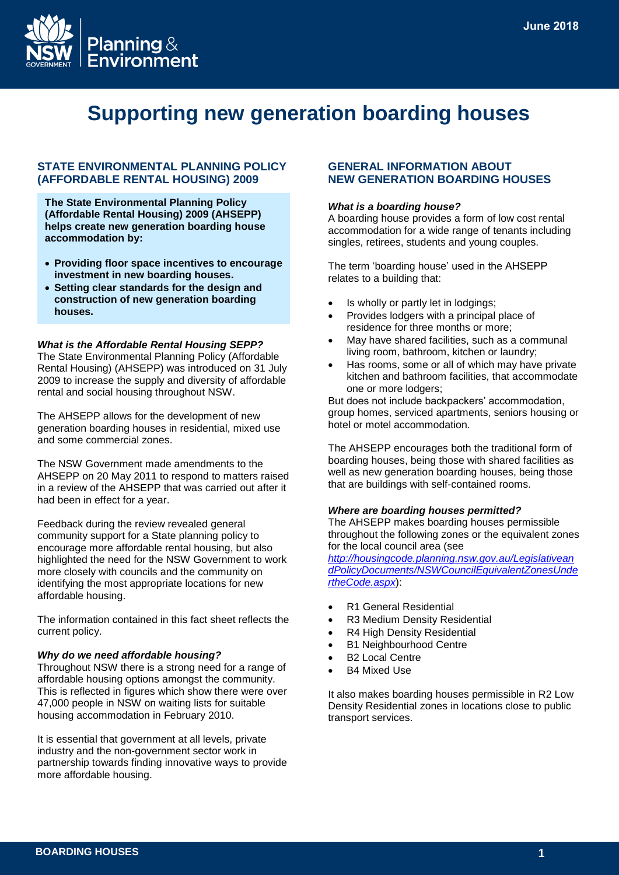

# **Supporting new generation boarding houses**

# **STATE ENVIRONMENTAL PLANNING POLICY (AFFORDABLE RENTAL HOUSING) 2009**

**The State Environmental Planning Policy (Affordable Rental Housing) 2009 (AHSEPP) helps create new generation boarding house accommodation by:**

- **Providing floor space incentives to encourage investment in new boarding houses.**
- **Setting clear standards for the design and construction of new generation boarding houses.**

#### *What is the Affordable Rental Housing SEPP?*

The State Environmental Planning Policy (Affordable Rental Housing) (AHSEPP) was introduced on 31 July 2009 to increase the supply and diversity of affordable rental and social housing throughout NSW.

The AHSEPP allows for the development of new generation boarding houses in residential, mixed use and some commercial zones.

The NSW Government made amendments to the AHSEPP on 20 May 2011 to respond to matters raised in a review of the AHSEPP that was carried out after it had been in effect for a year.

Feedback during the review revealed general community support for a State planning policy to encourage more affordable rental housing, but also highlighted the need for the NSW Government to work more closely with councils and the community on identifying the most appropriate locations for new affordable housing.

The information contained in this fact sheet reflects the current policy.

#### *Why do we need affordable housing?*

Throughout NSW there is a strong need for a range of affordable housing options amongst the community. This is reflected in figures which show there were over 47,000 people in NSW on waiting lists for suitable housing accommodation in February 2010.

It is essential that government at all levels, private industry and the non-government sector work in partnership towards finding innovative ways to provide more affordable housing.

# **GENERAL INFORMATION ABOUT NEW GENERATION BOARDING HOUSES**

#### *What is a boarding house?*

A boarding house provides a form of low cost rental accommodation for a wide range of tenants including singles, retirees, students and young couples.

The term 'boarding house' used in the AHSEPP relates to a building that:

- Is wholly or partly let in lodgings;
- Provides lodgers with a principal place of residence for three months or more;
- May have shared facilities, such as a communal living room, bathroom, kitchen or laundry;
- Has rooms, some or all of which may have private kitchen and bathroom facilities, that accommodate one or more lodgers;

But does not include backpackers' accommodation, group homes, serviced apartments, seniors housing or hotel or motel accommodation.

The AHSEPP encourages both the traditional form of boarding houses, being those with shared facilities as well as new generation boarding houses, being those that are buildings with self-contained rooms.

#### *Where are boarding houses permitted?*

The AHSEPP makes boarding houses permissible throughout the following zones or the equivalent zones for the local council area (see

*[http://housingcode.planning.nsw.gov.au/Legislativean](http://housingcode.planning.nsw.gov.au/LegislativeandPolicyDocuments/NSWCouncilEquivalentZonesUndertheCode.aspx) [dPolicyDocuments/NSWCouncilEquivalentZonesUnde](http://housingcode.planning.nsw.gov.au/LegislativeandPolicyDocuments/NSWCouncilEquivalentZonesUndertheCode.aspx) [rtheCode.aspx](http://housingcode.planning.nsw.gov.au/LegislativeandPolicyDocuments/NSWCouncilEquivalentZonesUndertheCode.aspx)*):

- R1 General Residential
- R3 Medium Density Residential
- R4 High Density Residential
- B1 Neighbourhood Centre
- B2 Local Centre
- B4 Mixed Use

It also makes boarding houses permissible in R2 Low Density Residential zones in locations close to public transport services.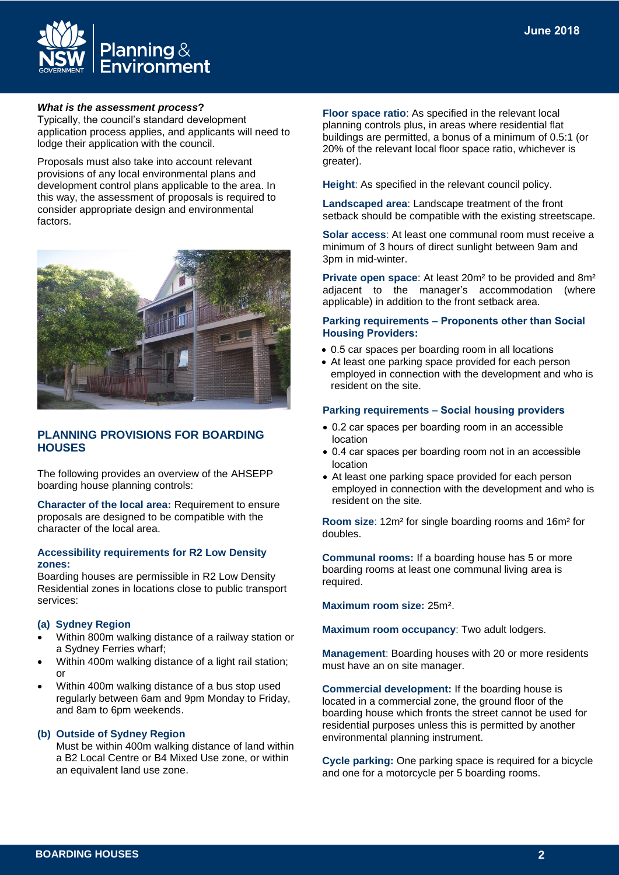

#### *What is the assessment process***?**

Typically, the council's standard development application process applies, and applicants will need to lodge their application with the council.

Proposals must also take into account relevant provisions of any local environmental plans and development control plans applicable to the area. In this way, the assessment of proposals is required to consider appropriate design and environmental factors.



# **PLANNING PROVISIONS FOR BOARDING HOUSES**

The following provides an overview of the AHSEPP boarding house planning controls:

**Character of the local area:** Requirement to ensure proposals are designed to be compatible with the character of the local area.

#### **Accessibility requirements for R2 Low Density zones:**

Boarding houses are permissible in R2 Low Density Residential zones in locations close to public transport services:

#### **(a) Sydney Region**

- Within 800m walking distance of a railway station or a Sydney Ferries wharf;
- Within 400m walking distance of a light rail station; or
- Within 400m walking distance of a bus stop used regularly between 6am and 9pm Monday to Friday, and 8am to 6pm weekends.

#### **(b) Outside of Sydney Region**

Must be within 400m walking distance of land within a B2 Local Centre or B4 Mixed Use zone, or within an equivalent land use zone.

**Floor space ratio**: As specified in the relevant local planning controls plus, in areas where residential flat buildings are permitted, a bonus of a minimum of 0.5:1 (or 20% of the relevant local floor space ratio, whichever is greater).

**Height**: As specified in the relevant council policy.

**Landscaped area**: Landscape treatment of the front setback should be compatible with the existing streetscape.

**Solar access**: At least one communal room must receive a minimum of 3 hours of direct sunlight between 9am and 3pm in mid-winter.

**Private open space**: At least 20m² to be provided and 8m² adjacent to the manager's accommodation (where applicable) in addition to the front setback area.

#### **Parking requirements – Proponents other than Social Housing Providers:**

- 0.5 car spaces per boarding room in all locations
- At least one parking space provided for each person employed in connection with the development and who is resident on the site.

#### **Parking requirements – Social housing providers**

- 0.2 car spaces per boarding room in an accessible location
- 0.4 car spaces per boarding room not in an accessible location
- At least one parking space provided for each person employed in connection with the development and who is resident on the site.

**Room size**: 12m² for single boarding rooms and 16m² for doubles.

**Communal rooms:** If a boarding house has 5 or more boarding rooms at least one communal living area is required.

**Maximum room size:** 25m².

**Maximum room occupancy**: Two adult lodgers.

**Management**: Boarding houses with 20 or more residents must have an on site manager.

**Commercial development:** If the boarding house is located in a commercial zone, the ground floor of the boarding house which fronts the street cannot be used for residential purposes unless this is permitted by another environmental planning instrument.

**Cycle parking:** One parking space is required for a bicycle and one for a motorcycle per 5 boarding rooms.